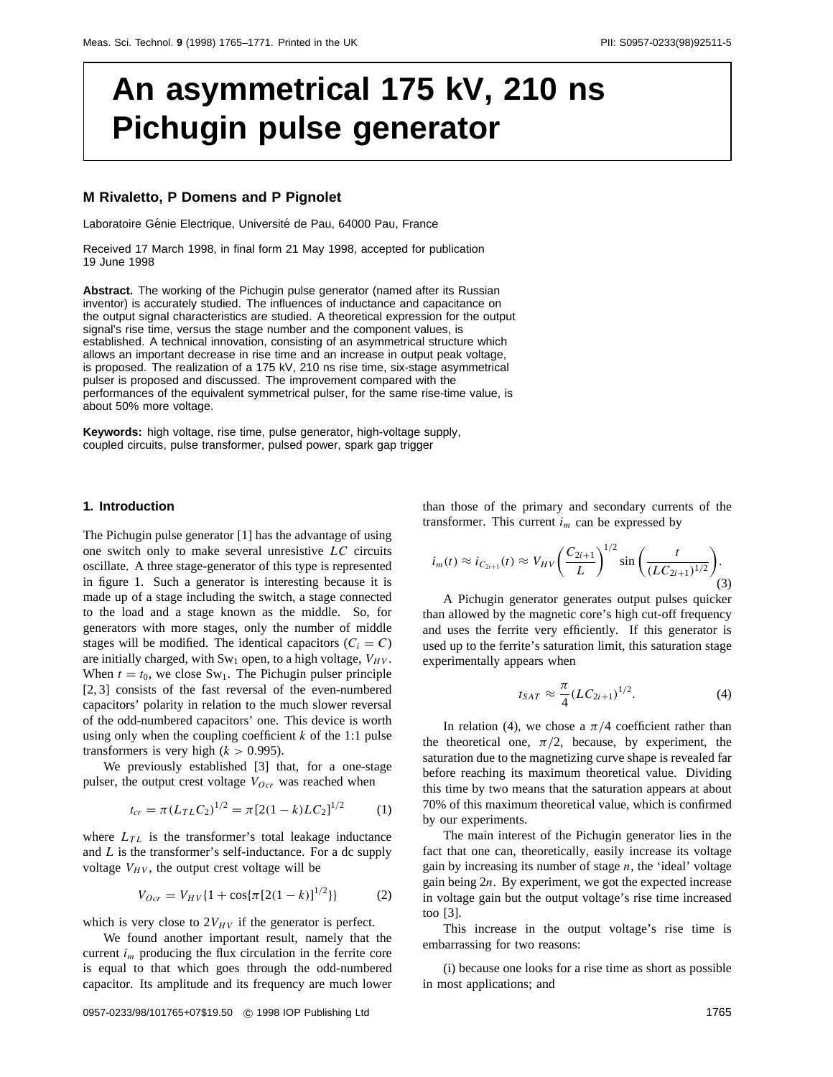# **An asymmetrical 175 kV, 210 ns Pichugin pulse generator**

## **M Rivaletto, P Domens and P Pignolet**

Laboratoire Génie Electrique, Université de Pau, 64000 Pau, France

Received 17 March 1998, in final form 21 May 1998, accepted for publication 19 June 1998

**Abstract.** The working of the Pichugin pulse generator (named after its Russian inventor) is accurately studied. The influences of inductance and capacitance on the output signal characteristics are studied. A theoretical expression for the output signal's rise time, versus the stage number and the component values, is established. A technical innovation, consisting of an asymmetrical structure which allows an important decrease in rise time and an increase in output peak voltage, is proposed. The realization of a 175 kV, 210 ns rise time, six-stage asymmetrical pulser is proposed and discussed. The improvement compared with the performances of the equivalent symmetrical pulser, for the same rise-time value, is about 50% more voltage.

**Keywords:** high voltage, rise time, pulse generator, high-voltage supply, coupled circuits, pulse transformer, pulsed power, spark gap trigger

# **1. Introduction**

The Pichugin pulse generator [1] has the advantage of using one switch only to make several unresistive *LC* circuits oscillate. A three stage-generator of this type is represented in figure 1. Such a generator is interesting because it is made up of a stage including the switch, a stage connected to the load and a stage known as the middle. So, for generators with more stages, only the number of middle stages will be modified. The identical capacitors  $(C_i = C)$ are initially charged, with  $Sw_1$  open, to a high voltage,  $V_{HV}$ . When  $t = t_0$ , we close Sw<sub>1</sub>. The Pichugin pulser principle [2, 3] consists of the fast reversal of the even-numbered capacitors' polarity in relation to the much slower reversal of the odd-numbered capacitors' one. This device is worth using only when the coupling coefficient *k* of the 1:1 pulse transformers is very high  $(k > 0.995)$ .

We previously established [3] that, for a one-stage pulser, the output crest voltage  $V_{Ocr}$  was reached when

$$
t_{cr} = \pi (L_{TL} C_2)^{1/2} = \pi [2(1-k)L C_2]^{1/2}
$$
 (1)

where  $L_{TL}$  is the transformer's total leakage inductance and *L* is the transformer's self-inductance. For a dc supply voltage  $V_{HV}$ , the output crest voltage will be

$$
V_{Ocr} = V_{HV} \{1 + \cos{\pi \left[2(1-k)\right]^{1/2}}\}\}
$$
 (2)

which is very close to  $2V_{HV}$  if the generator is perfect.

We found another important result, namely that the current *im* producing the flux circulation in the ferrite core is equal to that which goes through the odd-numbered capacitor. Its amplitude and its frequency are much lower

than those of the primary and secondary currents of the transformer. This current  $i<sub>m</sub>$  can be expressed by

$$
i_m(t) \approx i_{C_{2i+1}}(t) \approx V_{HV} \left(\frac{C_{2i+1}}{L}\right)^{1/2} \sin\left(\frac{t}{(LC_{2i+1})^{1/2}}\right).
$$
\n(3)

A Pichugin generator generates output pulses quicker than allowed by the magnetic core's high cut-off frequency and uses the ferrite very efficiently. If this generator is used up to the ferrite's saturation limit, this saturation stage experimentally appears when

$$
t_{SAT} \approx \frac{\pi}{4} (LC_{2i+1})^{1/2}.
$$
 (4)

In relation (4), we chose a  $\pi/4$  coefficient rather than the theoretical one,  $\pi/2$ , because, by experiment, the saturation due to the magnetizing curve shape is revealed far before reaching its maximum theoretical value. Dividing this time by two means that the saturation appears at about 70% of this maximum theoretical value, which is confirmed by our experiments.

The main interest of the Pichugin generator lies in the fact that one can, theoretically, easily increase its voltage gain by increasing its number of stage *n*, the 'ideal' voltage gain being 2*n*. By experiment, we got the expected increase in voltage gain but the output voltage's rise time increased too [3].

This increase in the output voltage's rise time is embarrassing for two reasons:

(i) because one looks for a rise time as short as possible in most applications; and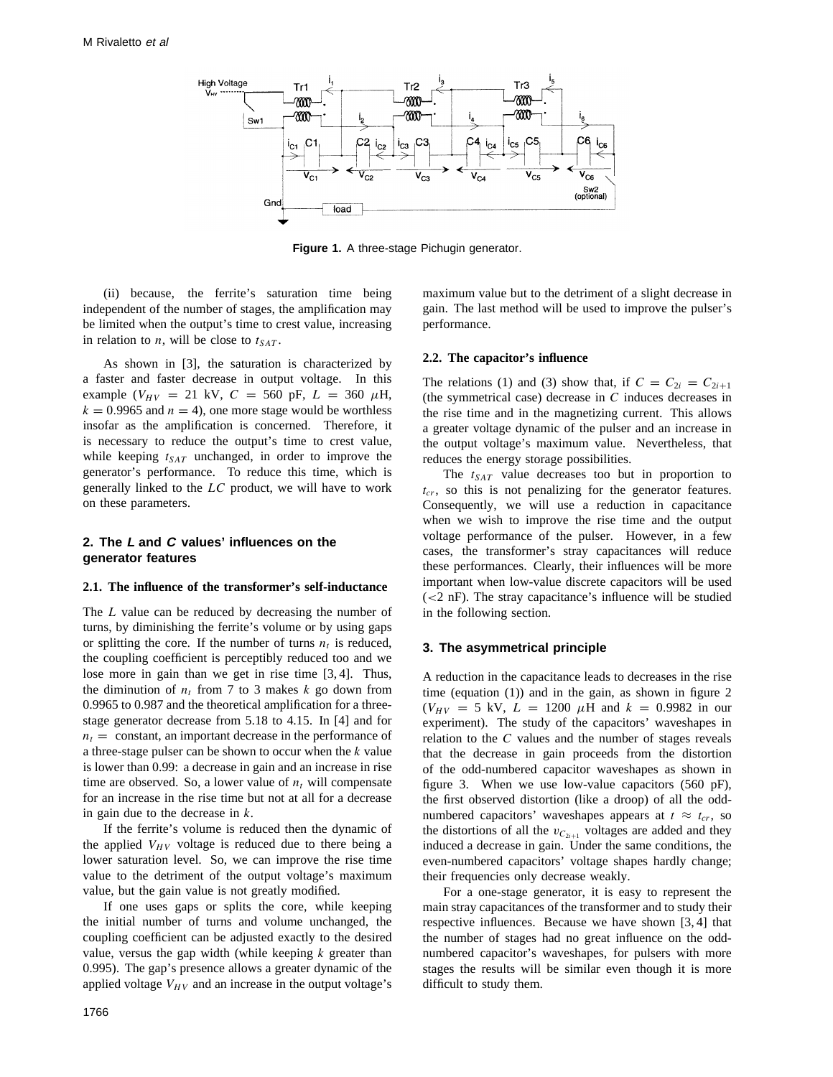

**Figure 1.** A three-stage Pichugin generator.

(ii) because, the ferrite's saturation time being independent of the number of stages, the amplification may be limited when the output's time to crest value, increasing in relation to *n*, will be close to  $t_{SAT}$ .

As shown in [3], the saturation is characterized by a faster and faster decrease in output voltage. In this example ( $V_{HV}$  = 21 kV,  $C = 560$  pF,  $L = 360$   $\mu$ H,  $k = 0.9965$  and  $n = 4$ ), one more stage would be worthless insofar as the amplification is concerned. Therefore, it is necessary to reduce the output's time to crest value, while keeping  $t_{SAT}$  unchanged, in order to improve the generator's performance. To reduce this time, which is generally linked to the *LC* product, we will have to work on these parameters.

# **2. The L and C values' influences on the generator features**

#### **2.1. The influence of the transformer's self-inductance**

The *L* value can be reduced by decreasing the number of turns, by diminishing the ferrite's volume or by using gaps or splitting the core. If the number of turns  $n_t$  is reduced, the coupling coefficient is perceptibly reduced too and we lose more in gain than we get in rise time [3, 4]. Thus, the diminution of  $n_t$  from 7 to 3 makes  $k$  go down from 0.9965 to 0.987 and the theoretical amplification for a threestage generator decrease from 5.18 to 4.15. In [4] and for  $n_t$  = constant, an important decrease in the performance of a three-stage pulser can be shown to occur when the *k* value is lower than 0.99: a decrease in gain and an increase in rise time are observed. So, a lower value of  $n_t$  will compensate for an increase in the rise time but not at all for a decrease in gain due to the decrease in *k*.

If the ferrite's volume is reduced then the dynamic of the applied  $V_{HV}$  voltage is reduced due to there being a lower saturation level. So, we can improve the rise time value to the detriment of the output voltage's maximum value, but the gain value is not greatly modified.

If one uses gaps or splits the core, while keeping the initial number of turns and volume unchanged, the coupling coefficient can be adjusted exactly to the desired value, versus the gap width (while keeping *k* greater than 0.995). The gap's presence allows a greater dynamic of the applied voltage  $V_{HV}$  and an increase in the output voltage's

maximum value but to the detriment of a slight decrease in gain. The last method will be used to improve the pulser's performance.

## **2.2. The capacitor's influence**

The relations (1) and (3) show that, if  $C = C_{2i} = C_{2i+1}$ (the symmetrical case) decrease in *C* induces decreases in the rise time and in the magnetizing current. This allows a greater voltage dynamic of the pulser and an increase in the output voltage's maximum value. Nevertheless, that reduces the energy storage possibilities.

The  $t_{SAT}$  value decreases too but in proportion to  $t_{cr}$ , so this is not penalizing for the generator features. Consequently, we will use a reduction in capacitance when we wish to improve the rise time and the output voltage performance of the pulser. However, in a few cases, the transformer's stray capacitances will reduce these performances. Clearly, their influences will be more important when low-value discrete capacitors will be used (*<*2 nF). The stray capacitance's influence will be studied in the following section.

# **3. The asymmetrical principle**

A reduction in the capacitance leads to decreases in the rise time (equation (1)) and in the gain, as shown in figure 2  $(V_{HV} = 5 \text{ kV}, L = 1200 \mu \text{H} \text{ and } k = 0.9982 \text{ in our}$ experiment). The study of the capacitors' waveshapes in relation to the *C* values and the number of stages reveals that the decrease in gain proceeds from the distortion of the odd-numbered capacitor waveshapes as shown in figure 3. When we use low-value capacitors (560 pF), the first observed distortion (like a droop) of all the oddnumbered capacitors' waveshapes appears at  $t \approx t_{cr}$ , so the distortions of all the  $v_{C_{2i+1}}$  voltages are added and they induced a decrease in gain. Under the same conditions, the even-numbered capacitors' voltage shapes hardly change; their frequencies only decrease weakly.

For a one-stage generator, it is easy to represent the main stray capacitances of the transformer and to study their respective influences. Because we have shown [3, 4] that the number of stages had no great influence on the oddnumbered capacitor's waveshapes, for pulsers with more stages the results will be similar even though it is more difficult to study them.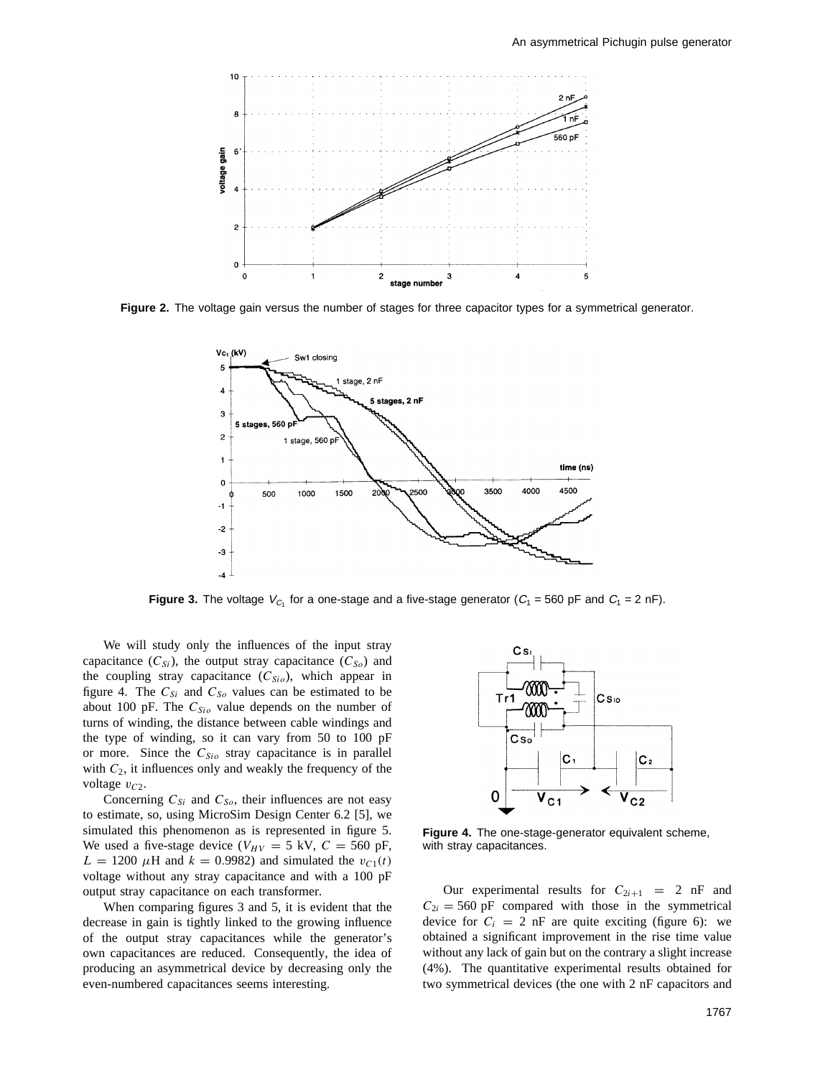

**Figure 2.** The voltage gain versus the number of stages for three capacitor types for a symmetrical generator.



**Figure 3.** The voltage  $V_{C_1}$  for a one-stage and a five-stage generator ( $C_1 = 560$  pF and  $C_1 = 2$  nF).

We will study only the influences of the input stray capacitance  $(C_{Si})$ , the output stray capacitance  $(C_{So})$  and the coupling stray capacitance  $(C_{Sio})$ , which appear in figure 4. The  $C_{Si}$  and  $C_{So}$  values can be estimated to be about 100 pF. The  $C_{Si}$  value depends on the number of turns of winding, the distance between cable windings and the type of winding, so it can vary from 50 to 100 pF or more. Since the *CSio* stray capacitance is in parallel with *C*2, it influences only and weakly the frequency of the voltage  $v_{C2}$ .

Concerning  $C_{Si}$  and  $C_{So}$ , their influences are not easy to estimate, so, using MicroSim Design Center 6.2 [5], we simulated this phenomenon as is represented in figure 5. We used a five-stage device ( $V_{HV} = 5$  kV,  $C = 560$  pF,  $L = 1200 \mu H$  and  $k = 0.9982$ ) and simulated the  $v_{C1}(t)$ voltage without any stray capacitance and with a 100 pF output stray capacitance on each transformer.

When comparing figures 3 and 5, it is evident that the decrease in gain is tightly linked to the growing influence of the output stray capacitances while the generator's own capacitances are reduced. Consequently, the idea of producing an asymmetrical device by decreasing only the even-numbered capacitances seems interesting.



**Figure 4.** The one-stage-generator equivalent scheme, with stray capacitances.

Our experimental results for  $C_{2i+1} = 2$  nF and  $C_{2i} = 560$  pF compared with those in the symmetrical device for  $C_i = 2$  nF are quite exciting (figure 6): we obtained a significant improvement in the rise time value without any lack of gain but on the contrary a slight increase (4%). The quantitative experimental results obtained for two symmetrical devices (the one with 2 nF capacitors and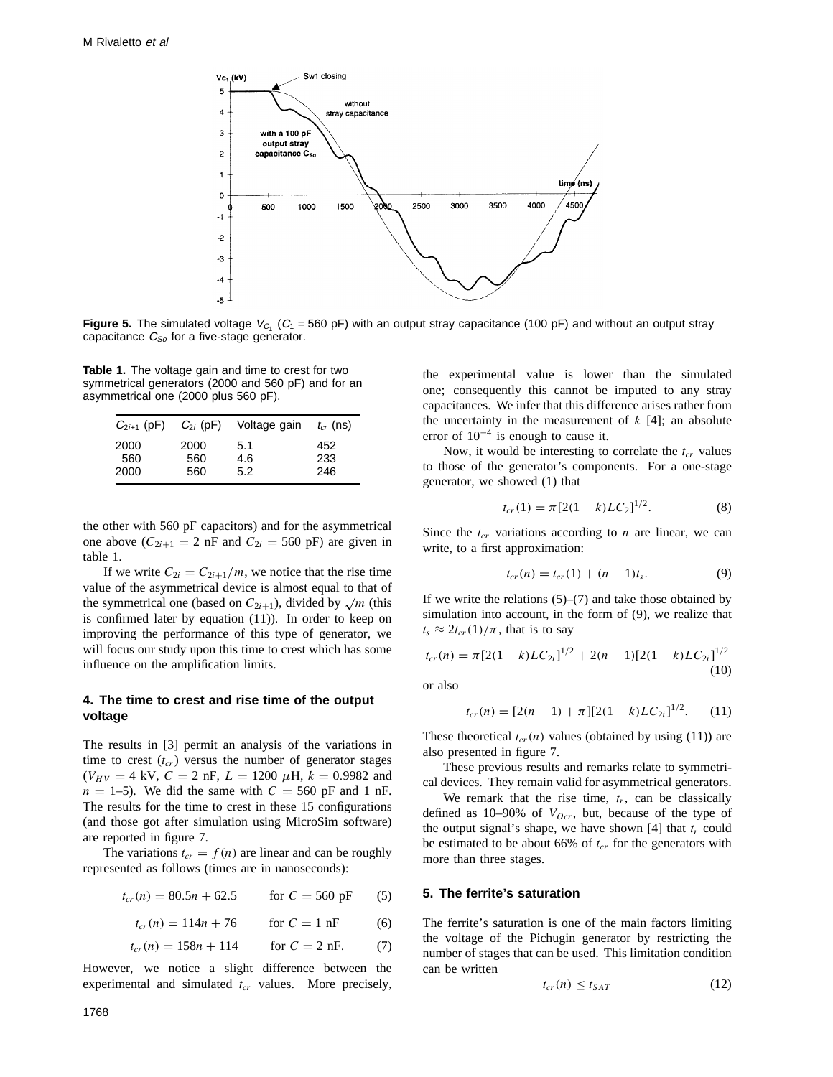

**Figure 5.** The simulated voltage  $V_{C_1}$  ( $C_1$  = 560 pF) with an output stray capacitance (100 pF) and without an output stray capacitance  $C_{So}$  for a five-stage generator.

**Table 1.** The voltage gain and time to crest for two symmetrical generators (2000 and 560 pF) and for an asymmetrical one (2000 plus 560 pF).

| $C_{2i+1}$ (pF)     | $C_{2i}$ (pF)      | Voltage gain      | $t_{cr}$ (ns)      |
|---------------------|--------------------|-------------------|--------------------|
| 2000<br>560<br>2000 | 2000<br>560<br>560 | 5.1<br>4.6<br>5.2 | 452.<br>233<br>246 |
|                     |                    |                   |                    |

the other with 560 pF capacitors) and for the asymmetrical one above  $(C_{2i+1} = 2 \text{ nF and } C_{2i} = 560 \text{ pF})$  are given in table 1.

If we write  $C_{2i} = C_{2i+1}/m$ , we notice that the rise time value of the asymmetrical device is almost equal to that of the symmetrical one (based on  $C_{2i+1}$ ), divided by  $\sqrt{m}$  (this is confirmed later by equation (11)). In order to keep on improving the performance of this type of generator, we will focus our study upon this time to crest which has some influence on the amplification limits.

# **4. The time to crest and rise time of the output voltage**

The results in [3] permit an analysis of the variations in time to crest  $(t_{cr})$  versus the number of generator stages  $(V_{HV} = 4$  kV,  $C = 2$  nF,  $L = 1200 \mu$ H,  $k = 0.9982$  and  $n = 1-5$ . We did the same with  $C = 560$  pF and 1 nF. The results for the time to crest in these 15 configurations (and those got after simulation using MicroSim software) are reported in figure 7.

The variations  $t_{cr} = f(n)$  are linear and can be roughly represented as follows (times are in nanoseconds):

$$
t_{cr}(n) = 80.5n + 62.5 \qquad \text{for } C = 560 \text{ pF} \tag{5}
$$

 $t_{cr}(n) = 114n + 76$  for  $C = 1$  nF (6)

$$
t_{cr}(n) = 158n + 114 \qquad \text{for } C = 2 \text{ nF.} \tag{7}
$$

However, we notice a slight difference between the experimental and simulated  $t_{cr}$  values. More precisely, the experimental value is lower than the simulated one; consequently this cannot be imputed to any stray capacitances. We infer that this difference arises rather from the uncertainty in the measurement of  $k$  [4]; an absolute error of  $10^{-4}$  is enough to cause it.

Now, it would be interesting to correlate the  $t_{cr}$  values to those of the generator's components. For a one-stage generator, we showed (1) that

$$
t_{cr}(1) = \pi [2(1-k)LC_2]^{1/2}.
$$
 (8)

Since the  $t_{cr}$  variations according to  $n$  are linear, we can write, to a first approximation:

$$
t_{cr}(n) = t_{cr}(1) + (n-1)t_s.
$$
 (9)

If we write the relations  $(5)$ – $(7)$  and take those obtained by simulation into account, in the form of (9), we realize that  $t_s \approx 2t_{cr}(1)/\pi$ , that is to say

$$
t_{cr}(n) = \pi [2(1-k)LC_{2i}]^{1/2} + 2(n-1)[2(1-k)LC_{2i}]^{1/2}
$$
\n(10)

or also

$$
t_{cr}(n) = [2(n-1) + \pi][2(1-k)LC_{2i}]^{1/2}.
$$
 (11)

These theoretical  $t_{cr}(n)$  values (obtained by using (11)) are also presented in figure 7.

These previous results and remarks relate to symmetrical devices. They remain valid for asymmetrical generators.

We remark that the rise time,  $t_r$ , can be classically defined as  $10-90\%$  of  $V_{Ocr}$ , but, because of the type of the output signal's shape, we have shown  $[4]$  that  $t_r$  could be estimated to be about 66% of  $t_{cr}$  for the generators with more than three stages.

# **5. The ferrite's saturation**

The ferrite's saturation is one of the main factors limiting the voltage of the Pichugin generator by restricting the number of stages that can be used. This limitation condition can be written

$$
t_{cr}(n) \le t_{SAT} \tag{12}
$$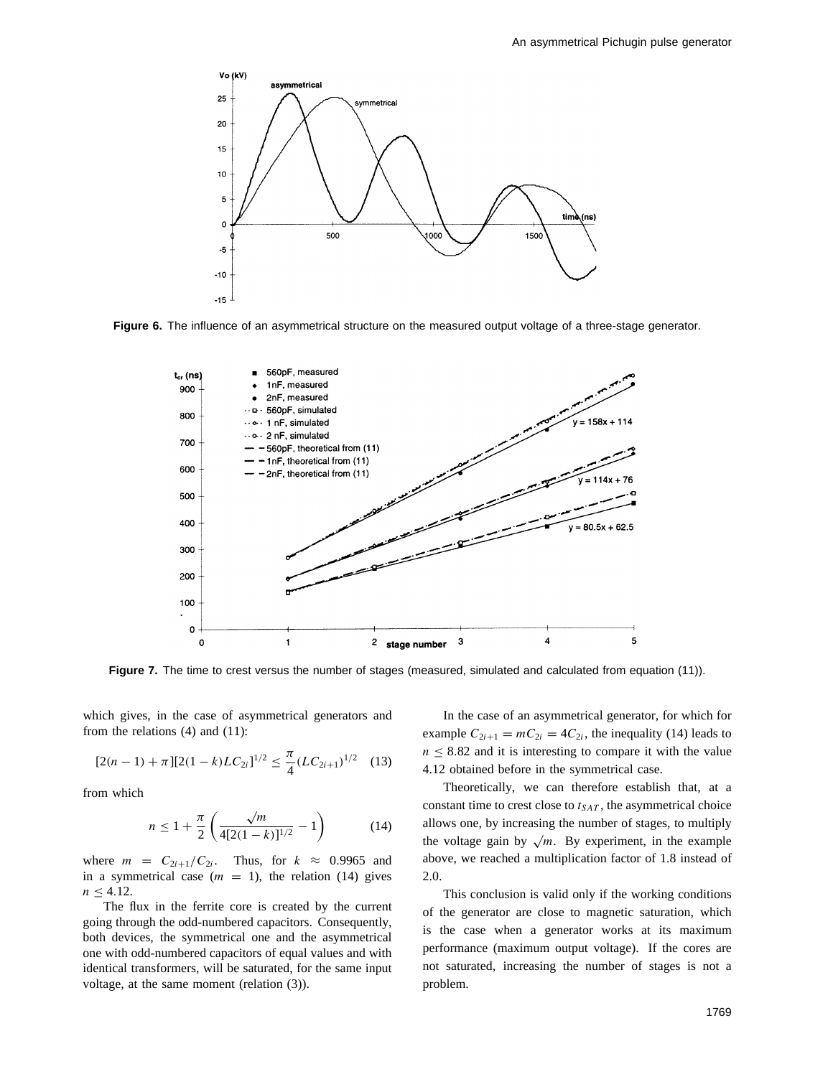

**Figure 6.** The influence of an asymmetrical structure on the measured output voltage of a three-stage generator.



Figure 7. The time to crest versus the number of stages (measured, simulated and calculated from equation (11)).

which gives, in the case of asymmetrical generators and from the relations (4) and (11):

$$
[2(n-1) + \pi][2(1-k)LC_{2i}]^{1/2} \le \frac{\pi}{4}(LC_{2i+1})^{1/2} \quad (13)
$$

from which

$$
n \le 1 + \frac{\pi}{2} \left( \frac{\sqrt{m}}{4[2(1-k)]^{1/2}} - 1 \right) \tag{14}
$$

where  $m = C_{2i+1}/C_{2i}$ . Thus, for  $k \approx 0.9965$  and in a symmetrical case  $(m = 1)$ , the relation (14) gives  $n \leq 4.12$ .

The flux in the ferrite core is created by the current going through the odd-numbered capacitors. Consequently, both devices, the symmetrical one and the asymmetrical one with odd-numbered capacitors of equal values and with identical transformers, will be saturated, for the same input voltage, at the same moment (relation (3)).

In the case of an asymmetrical generator, for which for example  $C_{2i+1} = mC_{2i} = 4C_{2i}$ , the inequality (14) leads to  $n \leq 8.82$  and it is interesting to compare it with the value 4.12 obtained before in the symmetrical case.

Theoretically, we can therefore establish that, at a constant time to crest close to  $t_{SAT}$ , the asymmetrical choice allows one, by increasing the number of stages, to multiply the voltage gain by  $\sqrt{m}$ . By experiment, in the example above, we reached a multiplication factor of 1.8 instead of 2.0.

This conclusion is valid only if the working conditions of the generator are close to magnetic saturation, which is the case when a generator works at its maximum performance (maximum output voltage). If the cores are not saturated, increasing the number of stages is not a problem.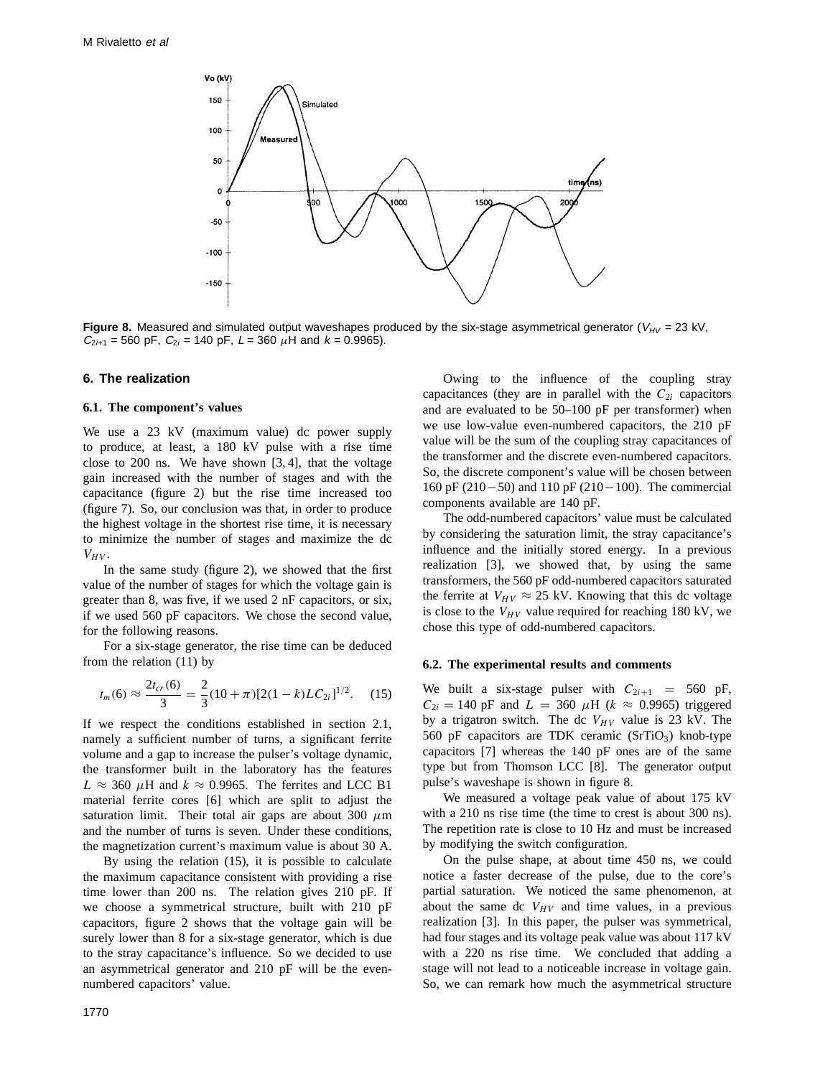

**Figure 8.** Measured and simulated output waveshapes produced by the six-stage asymmetrical generator ( $V_{HV}$  = 23 kV,  $C_{2i+1}$  = 560 pF,  $C_{2i}$  = 140 pF,  $L$  = 360  $\mu$ H and  $k$  = 0.9965).

# **6. The realization**

#### **6.1. The component's values**

We use a 23 kV (maximum value) dc power supply to produce, at least, a 180 kV pulse with a rise time close to 200 ns. We have shown [3, 4], that the voltage gain increased with the number of stages and with the capacitance (figure 2) but the rise time increased too (figure 7). So, our conclusion was that, in order to produce the highest voltage in the shortest rise time, it is necessary to minimize the number of stages and maximize the dc  $V_{HV}$ .

In the same study (figure 2), we showed that the first value of the number of stages for which the voltage gain is greater than 8, was five, if we used 2 nF capacitors, or six, if we used 560 pF capacitors. We chose the second value, for the following reasons.

For a six-stage generator, the rise time can be deduced from the relation (11) by

$$
t_m(6) \approx \frac{2t_{cr}(6)}{3} = \frac{2}{3}(10+\pi)[2(1-k)LC_{2i}]^{1/2}.
$$
 (15)

If we respect the conditions established in section 2.1, namely a sufficient number of turns, a significant ferrite volume and a gap to increase the pulser's voltage dynamic, the transformer built in the laboratory has the features  $L \approx 360 \mu$ H and  $k \approx 0.9965$ . The ferrites and LCC B1 material ferrite cores [6] which are split to adjust the saturation limit. Their total air gaps are about 300  $\mu$ m and the number of turns is seven. Under these conditions, the magnetization current's maximum value is about 30 A.

By using the relation (15), it is possible to calculate the maximum capacitance consistent with providing a rise time lower than 200 ns. The relation gives 210 pF. If we choose a symmetrical structure, built with 210 pF capacitors, figure 2 shows that the voltage gain will be surely lower than 8 for a six-stage generator, which is due to the stray capacitance's influence. So we decided to use an asymmetrical generator and 210 pF will be the evennumbered capacitors' value.

Owing to the influence of the coupling stray capacitances (they are in parallel with the  $C_{2i}$  capacitors and are evaluated to be 50–100 pF per transformer) when we use low-value even-numbered capacitors, the 210 pF value will be the sum of the coupling stray capacitances of the transformer and the discrete even-numbered capacitors. So, the discrete component's value will be chosen between 160 pF (210−50) and 110 pF (210−100). The commercial components available are 140 pF.

The odd-numbered capacitors' value must be calculated by considering the saturation limit, the stray capacitance's influence and the initially stored energy. In a previous realization [3], we showed that, by using the same transformers, the 560 pF odd-numbered capacitors saturated the ferrite at  $V_{HV} \approx 25$  kV. Knowing that this dc voltage is close to the  $V_{HV}$  value required for reaching 180 kV, we chose this type of odd-numbered capacitors.

## **6.2. The experimental results and comments**

We built a six-stage pulser with  $C_{2i+1} = 560$  pF,  $C_{2i} = 140$  pF and  $L = 360 \mu H$  ( $k \approx 0.9965$ ) triggered by a trigatron switch. The dc  $V_{HV}$  value is 23 kV. The 560 pF capacitors are TDK ceramic  $(SrTiO<sub>3</sub>)$  knob-type capacitors [7] whereas the 140 pF ones are of the same type but from Thomson LCC [8]. The generator output pulse's waveshape is shown in figure 8.

We measured a voltage peak value of about 175 kV with a 210 ns rise time (the time to crest is about 300 ns). The repetition rate is close to 10 Hz and must be increased by modifying the switch configuration.

On the pulse shape, at about time 450 ns, we could notice a faster decrease of the pulse, due to the core's partial saturation. We noticed the same phenomenon, at about the same dc  $V_{HV}$  and time values, in a previous realization [3]. In this paper, the pulser was symmetrical, had four stages and its voltage peak value was about 117 kV with a 220 ns rise time. We concluded that adding a stage will not lead to a noticeable increase in voltage gain. So, we can remark how much the asymmetrical structure